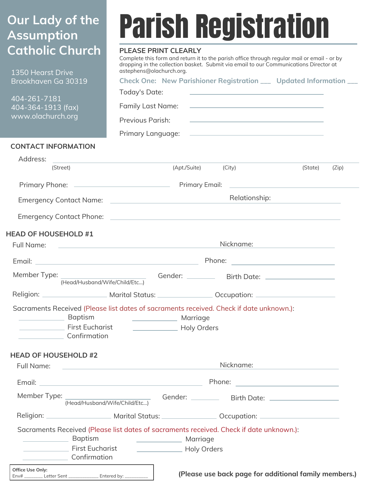## **Our Lady of the Assumption Catholic Church**

1350 Hearst Drive Brookhav

## Parish Registration

## **PLEASE PRINT CLEARLY**

Complete this form and return it to the parish office through regular mail or email - or by dropping in the collection basket. Submit via email to our Communications Director at astephens@olachurch.org.

| Brookhaven Ga 30319                                                                    | Check One: New Parishioner Registration ___ Updated Information ___<br>Today's Date:<br><u> 1990 - John Stein, Amerikaansk politiker (</u>                                                                                        |  |  |
|----------------------------------------------------------------------------------------|-----------------------------------------------------------------------------------------------------------------------------------------------------------------------------------------------------------------------------------|--|--|
| 404-261-7181<br>404-364-1913 (fax)                                                     | Family Last Name:<br><u> 1990 - Johann John Stein, markin fan it ferstjer fan de ferstjer fan it ferstjer fan it ferstjer fan it ferst</u>                                                                                        |  |  |
| www.olachurch.org                                                                      | Previous Parish:<br><u> 1989 - Johann Harry Harry Harry Harry Harry Harry Harry Harry Harry Harry Harry Harry Harry Harry Harry Harry</u>                                                                                         |  |  |
|                                                                                        |                                                                                                                                                                                                                                   |  |  |
| <b>CONTACT INFORMATION</b>                                                             |                                                                                                                                                                                                                                   |  |  |
| Address:                                                                               | <u> 1980 - Andrea Andrew Maria (h. 1980).</u>                                                                                                                                                                                     |  |  |
| (Street)                                                                               | (Apt./Suite) (City)<br>(State)<br>(Zip)                                                                                                                                                                                           |  |  |
|                                                                                        |                                                                                                                                                                                                                                   |  |  |
|                                                                                        | Relationship:                                                                                                                                                                                                                     |  |  |
|                                                                                        | Emergency Contact Phone: Law Contact Chone Contact Chone Contact Contact Contact Contact Chone Contact Chone C                                                                                                                    |  |  |
| <b>HEAD OF HOUSEHOLD #1</b>                                                            |                                                                                                                                                                                                                                   |  |  |
| Full Name:                                                                             | Nickname: Nickname:<br><u> 1980 - Andrea Station, amerikansk politik (d. 1980)</u>                                                                                                                                                |  |  |
|                                                                                        |                                                                                                                                                                                                                                   |  |  |
|                                                                                        |                                                                                                                                                                                                                                   |  |  |
|                                                                                        | Religion: ________________________ Marital Status: _________________ Occupation: ___________________                                                                                                                              |  |  |
| Baptism<br><b>Confirmation</b>                                                         | Sacraments Received (Please list dates of sacraments received. Check if date unknown.):<br>Marriage<br><b>Norman Prince Prince Prince Prince Prince Prince Prince Prince Prince Prince Prince Prince Prince Prince Prince Pri</b> |  |  |
| <b>HEAD OF HOUSEHOLD #2</b>                                                            | Nickname: and the state of the state of the state of the state of the state of the state of the state of the s                                                                                                                    |  |  |
|                                                                                        |                                                                                                                                                                                                                                   |  |  |
|                                                                                        |                                                                                                                                                                                                                                   |  |  |
|                                                                                        |                                                                                                                                                                                                                                   |  |  |
|                                                                                        |                                                                                                                                                                                                                                   |  |  |
| Baptism<br><b>Example 2</b> First Eucharist<br><b>Confirmation</b>                     | Sacraments Received (Please list dates of sacraments received. Check if date unknown.):<br>Marriage<br>Holy Orders                                                                                                                |  |  |
| Office Use Only:<br>Env# _________ Letter Sent _______________ Entered by: ___________ | (Please use back page for additional family members.)                                                                                                                                                                             |  |  |